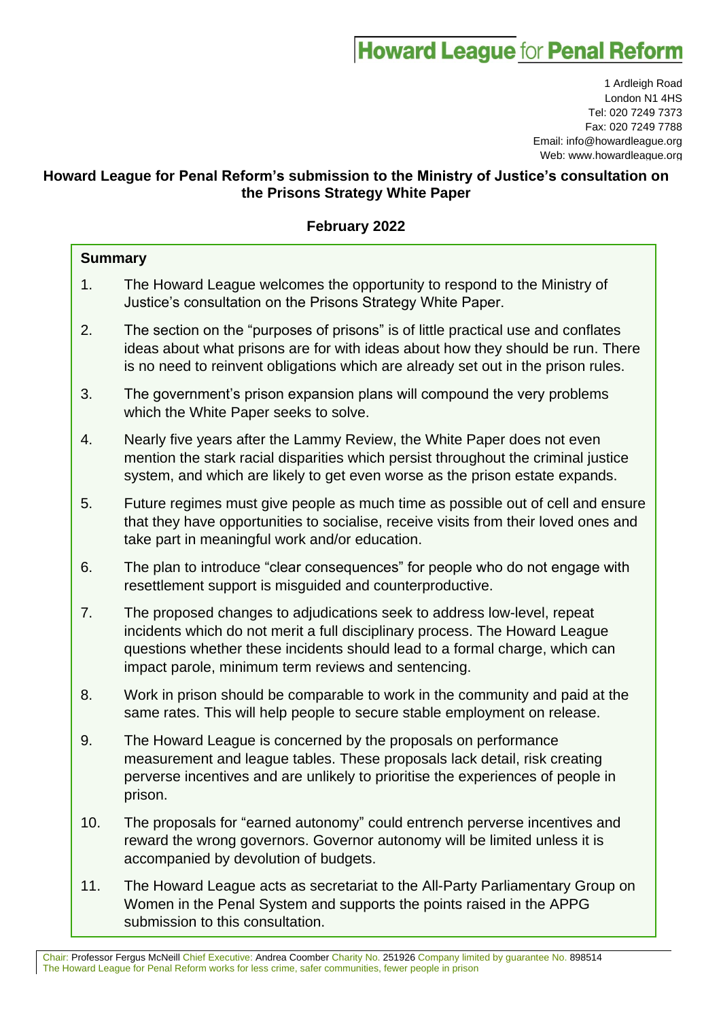# **Howard League for Penal Reform**

1 Ardleigh Road London N1 4HS Tel: 020 7249 7373 Fax: 020 7249 7788 Email: info@howardleague.org Web: www.howardleague.org

# **Howard League for Penal Reform's submission to the Ministry of Justice's consultation on the Prisons Strategy White Paper**

# **February 2022**

| <b>Summary</b> |                                                                                                                                                                                                                                                                                              |
|----------------|----------------------------------------------------------------------------------------------------------------------------------------------------------------------------------------------------------------------------------------------------------------------------------------------|
| 1.             | The Howard League welcomes the opportunity to respond to the Ministry of<br>Justice's consultation on the Prisons Strategy White Paper.                                                                                                                                                      |
| 2.             | The section on the "purposes of prisons" is of little practical use and conflates<br>ideas about what prisons are for with ideas about how they should be run. There<br>is no need to reinvent obligations which are already set out in the prison rules.                                    |
| 3.             | The government's prison expansion plans will compound the very problems<br>which the White Paper seeks to solve.                                                                                                                                                                             |
| 4.             | Nearly five years after the Lammy Review, the White Paper does not even<br>mention the stark racial disparities which persist throughout the criminal justice<br>system, and which are likely to get even worse as the prison estate expands.                                                |
| 5.             | Future regimes must give people as much time as possible out of cell and ensure<br>that they have opportunities to socialise, receive visits from their loved ones and<br>take part in meaningful work and/or education.                                                                     |
| 6.             | The plan to introduce "clear consequences" for people who do not engage with<br>resettlement support is misguided and counterproductive.                                                                                                                                                     |
| 7.             | The proposed changes to adjudications seek to address low-level, repeat<br>incidents which do not merit a full disciplinary process. The Howard League<br>questions whether these incidents should lead to a formal charge, which can<br>impact parole, minimum term reviews and sentencing. |
| 8.             | Work in prison should be comparable to work in the community and paid at the<br>same rates. This will help people to secure stable employment on release.                                                                                                                                    |
| 9.             | The Howard League is concerned by the proposals on performance<br>measurement and league tables. These proposals lack detail, risk creating<br>perverse incentives and are unlikely to prioritise the experiences of people in<br>prison.                                                    |
| 10.            | The proposals for "earned autonomy" could entrench perverse incentives and<br>reward the wrong governors. Governor autonomy will be limited unless it is<br>accompanied by devolution of budgets.                                                                                            |
| 11.            | The Howard League acts as secretariat to the All-Party Parliamentary Group on<br>Women in the Penal System and supports the points raised in the APPG<br>submission to this consultation.                                                                                                    |

Chair: Professor Fergus McNeill Chief Executive: Andrea Coomber Charity No. 251926 Company limited by guarantee No. 898514 The Howard League for Penal Reform works for less crime, safer communities, fewer people in prison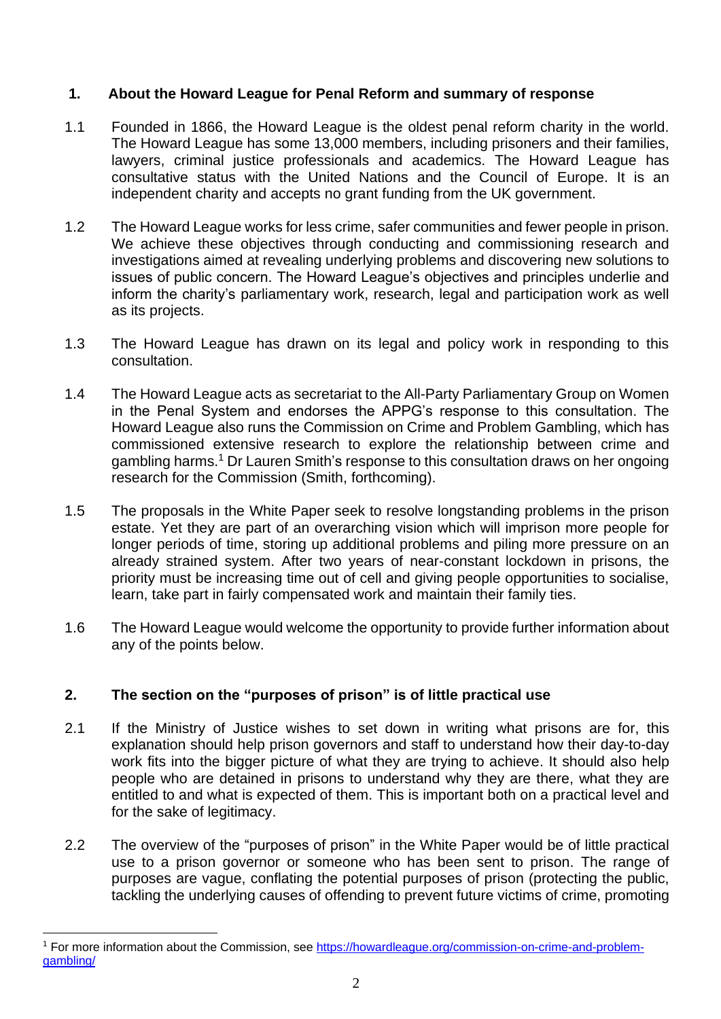# **1. About the Howard League for Penal Reform and summary of response**

- 1.1 Founded in 1866, the Howard League is the oldest penal reform charity in the world. The Howard League has some 13,000 members, including prisoners and their families, lawyers, criminal justice professionals and academics. The Howard League has consultative status with the United Nations and the Council of Europe. It is an independent charity and accepts no grant funding from the UK government.
- 1.2 The Howard League works for less crime, safer communities and fewer people in prison. We achieve these objectives through conducting and commissioning research and investigations aimed at revealing underlying problems and discovering new solutions to issues of public concern. The Howard League's objectives and principles underlie and inform the charity's parliamentary work, research, legal and participation work as well as its projects.
- 1.3 The Howard League has drawn on its legal and policy work in responding to this consultation.
- 1.4 The Howard League acts as secretariat to the All-Party Parliamentary Group on Women in the Penal System and endorses the APPG's response to this consultation. The Howard League also runs the Commission on Crime and Problem Gambling, which has commissioned extensive research to explore the relationship between crime and gambling harms. <sup>1</sup> Dr Lauren Smith's response to this consultation draws on her ongoing research for the Commission (Smith, forthcoming).
- 1.5 The proposals in the White Paper seek to resolve longstanding problems in the prison estate. Yet they are part of an overarching vision which will imprison more people for longer periods of time, storing up additional problems and piling more pressure on an already strained system. After two years of near-constant lockdown in prisons, the priority must be increasing time out of cell and giving people opportunities to socialise, learn, take part in fairly compensated work and maintain their family ties.
- 1.6 The Howard League would welcome the opportunity to provide further information about any of the points below.

# **2. The section on the "purposes of prison" is of little practical use**

- 2.1 If the Ministry of Justice wishes to set down in writing what prisons are for, this explanation should help prison governors and staff to understand how their day-to-day work fits into the bigger picture of what they are trying to achieve. It should also help people who are detained in prisons to understand why they are there, what they are entitled to and what is expected of them. This is important both on a practical level and for the sake of legitimacy.
- 2.2 The overview of the "purposes of prison" in the White Paper would be of little practical use to a prison governor or someone who has been sent to prison. The range of purposes are vague, conflating the potential purposes of prison (protecting the public, tackling the underlying causes of offending to prevent future victims of crime, promoting

<sup>1</sup> For more information about the Commission, see [https://howardleague.org/commission-on-crime-and-problem](https://howardleague.org/commission-on-crime-and-problem-gambling/)[gambling/](https://howardleague.org/commission-on-crime-and-problem-gambling/)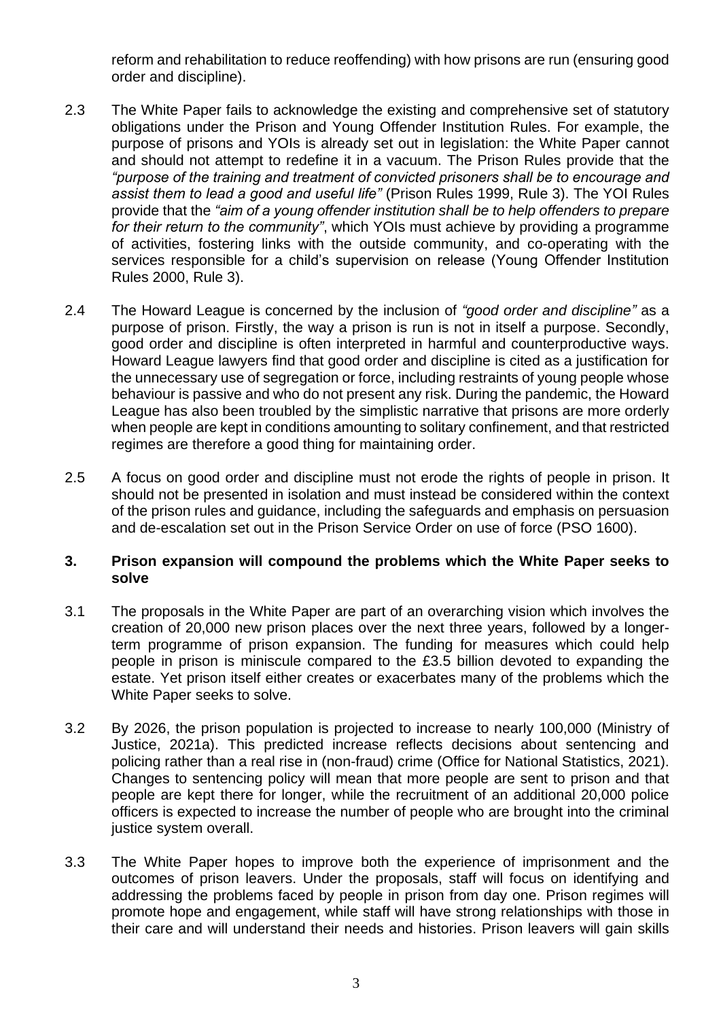reform and rehabilitation to reduce reoffending) with how prisons are run (ensuring good order and discipline).

- 2.3 The White Paper fails to acknowledge the existing and comprehensive set of statutory obligations under the Prison and Young Offender Institution Rules. For example, the purpose of prisons and YOIs is already set out in legislation: the White Paper cannot and should not attempt to redefine it in a vacuum. The Prison Rules provide that the *"purpose of the training and treatment of convicted prisoners shall be to encourage and assist them to lead a good and useful life"* (Prison Rules 1999, Rule 3). The YOI Rules provide that the *"aim of a young offender institution shall be to help offenders to prepare for their return to the community"*, which YOIs must achieve by providing a programme of activities, fostering links with the outside community, and co-operating with the services responsible for a child's supervision on release (Young Offender Institution Rules 2000, Rule 3).
- 2.4 The Howard League is concerned by the inclusion of *"good order and discipline"* as a purpose of prison. Firstly, the way a prison is run is not in itself a purpose. Secondly, good order and discipline is often interpreted in harmful and counterproductive ways. Howard League lawyers find that good order and discipline is cited as a justification for the unnecessary use of segregation or force, including restraints of young people whose behaviour is passive and who do not present any risk. During the pandemic, the Howard League has also been troubled by the simplistic narrative that prisons are more orderly when people are kept in conditions amounting to solitary confinement, and that restricted regimes are therefore a good thing for maintaining order.
- 2.5 A focus on good order and discipline must not erode the rights of people in prison. It should not be presented in isolation and must instead be considered within the context of the prison rules and guidance, including the safeguards and emphasis on persuasion and de-escalation set out in the Prison Service Order on use of force (PSO 1600).

#### **3. Prison expansion will compound the problems which the White Paper seeks to solve**

- 3.1 The proposals in the White Paper are part of an overarching vision which involves the creation of 20,000 new prison places over the next three years, followed by a longerterm programme of prison expansion. The funding for measures which could help people in prison is miniscule compared to the £3.5 billion devoted to expanding the estate. Yet prison itself either creates or exacerbates many of the problems which the White Paper seeks to solve.
- 3.2 By 2026, the prison population is projected to increase to nearly 100,000 (Ministry of Justice, 2021a). This predicted increase reflects decisions about sentencing and policing rather than a real rise in (non-fraud) crime (Office for National Statistics, 2021). Changes to sentencing policy will mean that more people are sent to prison and that people are kept there for longer, while the recruitment of an additional 20,000 police officers is expected to increase the number of people who are brought into the criminal justice system overall.
- 3.3 The White Paper hopes to improve both the experience of imprisonment and the outcomes of prison leavers. Under the proposals, staff will focus on identifying and addressing the problems faced by people in prison from day one. Prison regimes will promote hope and engagement, while staff will have strong relationships with those in their care and will understand their needs and histories. Prison leavers will gain skills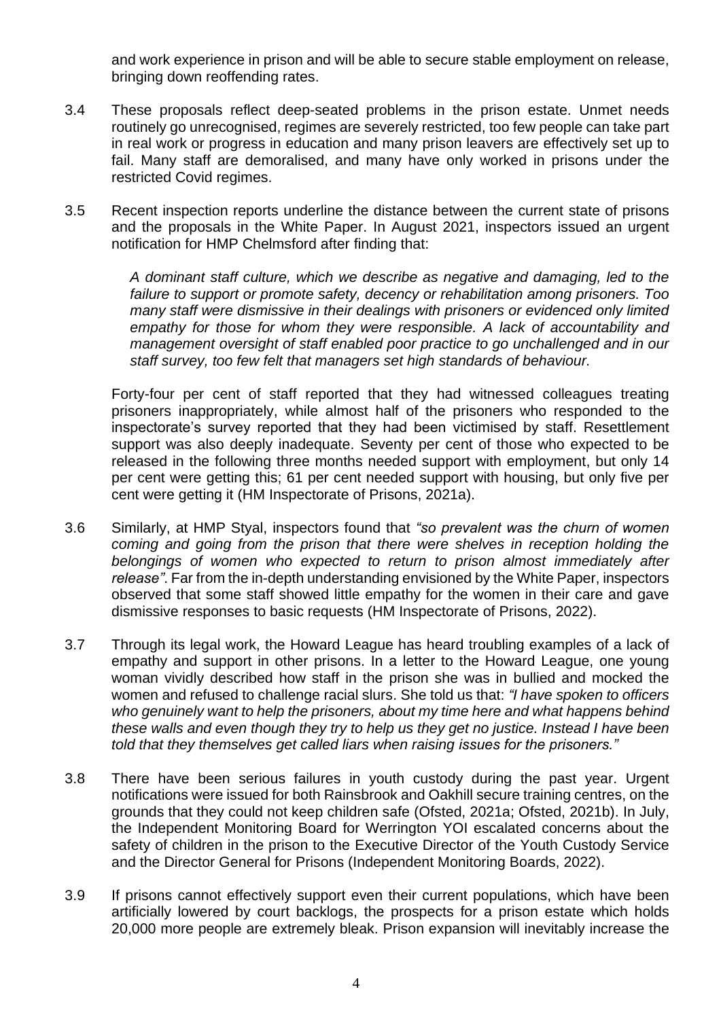and work experience in prison and will be able to secure stable employment on release, bringing down reoffending rates.

- 3.4 These proposals reflect deep-seated problems in the prison estate. Unmet needs routinely go unrecognised, regimes are severely restricted, too few people can take part in real work or progress in education and many prison leavers are effectively set up to fail. Many staff are demoralised, and many have only worked in prisons under the restricted Covid regimes.
- 3.5 Recent inspection reports underline the distance between the current state of prisons and the proposals in the White Paper. In August 2021, inspectors issued an urgent notification for HMP Chelmsford after finding that:

*A dominant staff culture, which we describe as negative and damaging, led to the failure to support or promote safety, decency or rehabilitation among prisoners. Too many staff were dismissive in their dealings with prisoners or evidenced only limited empathy for those for whom they were responsible. A lack of accountability and management oversight of staff enabled poor practice to go unchallenged and in our staff survey, too few felt that managers set high standards of behaviour.*

Forty-four per cent of staff reported that they had witnessed colleagues treating prisoners inappropriately, while almost half of the prisoners who responded to the inspectorate's survey reported that they had been victimised by staff. Resettlement support was also deeply inadequate. Seventy per cent of those who expected to be released in the following three months needed support with employment, but only 14 per cent were getting this; 61 per cent needed support with housing, but only five per cent were getting it (HM Inspectorate of Prisons, 2021a).

- 3.6 Similarly, at HMP Styal, inspectors found that *"so prevalent was the churn of women coming and going from the prison that there were shelves in reception holding the belongings of women who expected to return to prison almost immediately after release"*. Far from the in-depth understanding envisioned by the White Paper, inspectors observed that some staff showed little empathy for the women in their care and gave dismissive responses to basic requests (HM Inspectorate of Prisons, 2022).
- 3.7 Through its legal work, the Howard League has heard troubling examples of a lack of empathy and support in other prisons. In a letter to the Howard League, one young woman vividly described how staff in the prison she was in bullied and mocked the women and refused to challenge racial slurs. She told us that: *"I have spoken to officers who genuinely want to help the prisoners, about my time here and what happens behind these walls and even though they try to help us they get no justice. Instead I have been told that they themselves get called liars when raising issues for the prisoners."*
- 3.8 There have been serious failures in youth custody during the past year. Urgent notifications were issued for both Rainsbrook and Oakhill secure training centres, on the grounds that they could not keep children safe (Ofsted, 2021a; Ofsted, 2021b). In July, the Independent Monitoring Board for Werrington YOI escalated concerns about the safety of children in the prison to the Executive Director of the Youth Custody Service and the Director General for Prisons (Independent Monitoring Boards, 2022).
- 3.9 If prisons cannot effectively support even their current populations, which have been artificially lowered by court backlogs, the prospects for a prison estate which holds 20,000 more people are extremely bleak. Prison expansion will inevitably increase the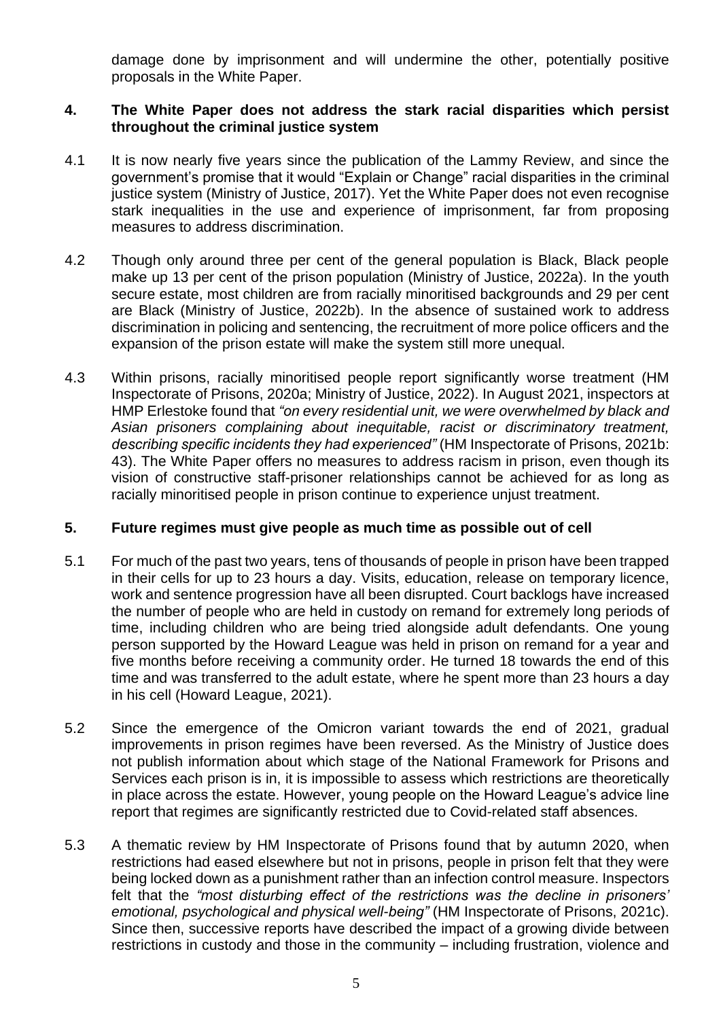damage done by imprisonment and will undermine the other, potentially positive proposals in the White Paper.

## **4. The White Paper does not address the stark racial disparities which persist throughout the criminal justice system**

- 4.1 It is now nearly five years since the publication of the Lammy Review, and since the government's promise that it would "Explain or Change" racial disparities in the criminal justice system (Ministry of Justice, 2017). Yet the White Paper does not even recognise stark inequalities in the use and experience of imprisonment, far from proposing measures to address discrimination.
- 4.2 Though only around three per cent of the general population is Black, Black people make up 13 per cent of the prison population (Ministry of Justice, 2022a). In the youth secure estate, most children are from racially minoritised backgrounds and 29 per cent are Black (Ministry of Justice, 2022b). In the absence of sustained work to address discrimination in policing and sentencing, the recruitment of more police officers and the expansion of the prison estate will make the system still more unequal.
- 4.3 Within prisons, racially minoritised people report significantly worse treatment (HM Inspectorate of Prisons, 2020a; Ministry of Justice, 2022). In August 2021, inspectors at HMP Erlestoke found that *"on every residential unit, we were overwhelmed by black and Asian prisoners complaining about inequitable, racist or discriminatory treatment, describing specific incidents they had experienced"* (HM Inspectorate of Prisons, 2021b: 43). The White Paper offers no measures to address racism in prison, even though its vision of constructive staff-prisoner relationships cannot be achieved for as long as racially minoritised people in prison continue to experience unjust treatment.

## **5. Future regimes must give people as much time as possible out of cell**

- 5.1 For much of the past two years, tens of thousands of people in prison have been trapped in their cells for up to 23 hours a day. Visits, education, release on temporary licence, work and sentence progression have all been disrupted. Court backlogs have increased the number of people who are held in custody on remand for extremely long periods of time, including children who are being tried alongside adult defendants. One young person supported by the Howard League was held in prison on remand for a year and five months before receiving a community order. He turned 18 towards the end of this time and was transferred to the adult estate, where he spent more than 23 hours a day in his cell (Howard League, 2021).
- 5.2 Since the emergence of the Omicron variant towards the end of 2021, gradual improvements in prison regimes have been reversed. As the Ministry of Justice does not publish information about which stage of the National Framework for Prisons and Services each prison is in, it is impossible to assess which restrictions are theoretically in place across the estate. However, young people on the Howard League's advice line report that regimes are significantly restricted due to Covid-related staff absences.
- 5.3 A thematic review by HM Inspectorate of Prisons found that by autumn 2020, when restrictions had eased elsewhere but not in prisons, people in prison felt that they were being locked down as a punishment rather than an infection control measure. Inspectors felt that the *"most disturbing effect of the restrictions was the decline in prisoners' emotional, psychological and physical well-being"* (HM Inspectorate of Prisons, 2021c). Since then, successive reports have described the impact of a growing divide between restrictions in custody and those in the community – including frustration, violence and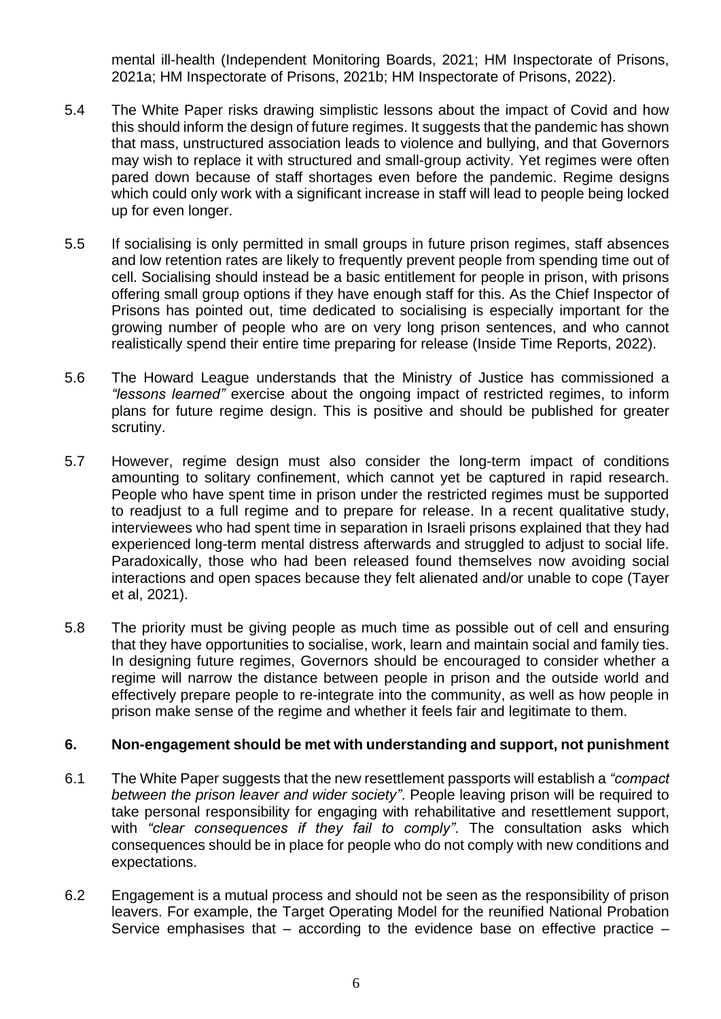mental ill-health (Independent Monitoring Boards, 2021; HM Inspectorate of Prisons, 2021a; HM Inspectorate of Prisons, 2021b; HM Inspectorate of Prisons, 2022).

- 5.4 The White Paper risks drawing simplistic lessons about the impact of Covid and how this should inform the design of future regimes. It suggests that the pandemic has shown that mass, unstructured association leads to violence and bullying, and that Governors may wish to replace it with structured and small-group activity. Yet regimes were often pared down because of staff shortages even before the pandemic. Regime designs which could only work with a significant increase in staff will lead to people being locked up for even longer.
- 5.5 If socialising is only permitted in small groups in future prison regimes, staff absences and low retention rates are likely to frequently prevent people from spending time out of cell. Socialising should instead be a basic entitlement for people in prison, with prisons offering small group options if they have enough staff for this. As the Chief Inspector of Prisons has pointed out, time dedicated to socialising is especially important for the growing number of people who are on very long prison sentences, and who cannot realistically spend their entire time preparing for release (Inside Time Reports, 2022).
- 5.6 The Howard League understands that the Ministry of Justice has commissioned a *"lessons learned"* exercise about the ongoing impact of restricted regimes, to inform plans for future regime design. This is positive and should be published for greater scrutiny.
- 5.7 However, regime design must also consider the long-term impact of conditions amounting to solitary confinement, which cannot yet be captured in rapid research. People who have spent time in prison under the restricted regimes must be supported to readjust to a full regime and to prepare for release. In a recent qualitative study, interviewees who had spent time in separation in Israeli prisons explained that they had experienced long-term mental distress afterwards and struggled to adjust to social life. Paradoxically, those who had been released found themselves now avoiding social interactions and open spaces because they felt alienated and/or unable to cope (Tayer et al, 2021).
- 5.8 The priority must be giving people as much time as possible out of cell and ensuring that they have opportunities to socialise, work, learn and maintain social and family ties. In designing future regimes, Governors should be encouraged to consider whether a regime will narrow the distance between people in prison and the outside world and effectively prepare people to re-integrate into the community, as well as how people in prison make sense of the regime and whether it feels fair and legitimate to them.

#### **6. Non-engagement should be met with understanding and support, not punishment**

- 6.1 The White Paper suggests that the new resettlement passports will establish a *"compact between the prison leaver and wider society"*. People leaving prison will be required to take personal responsibility for engaging with rehabilitative and resettlement support, with *"clear consequences if they fail to comply"*. The consultation asks which consequences should be in place for people who do not comply with new conditions and expectations.
- 6.2 Engagement is a mutual process and should not be seen as the responsibility of prison leavers. For example, the Target Operating Model for the reunified National Probation Service emphasises that – according to the evidence base on effective practice –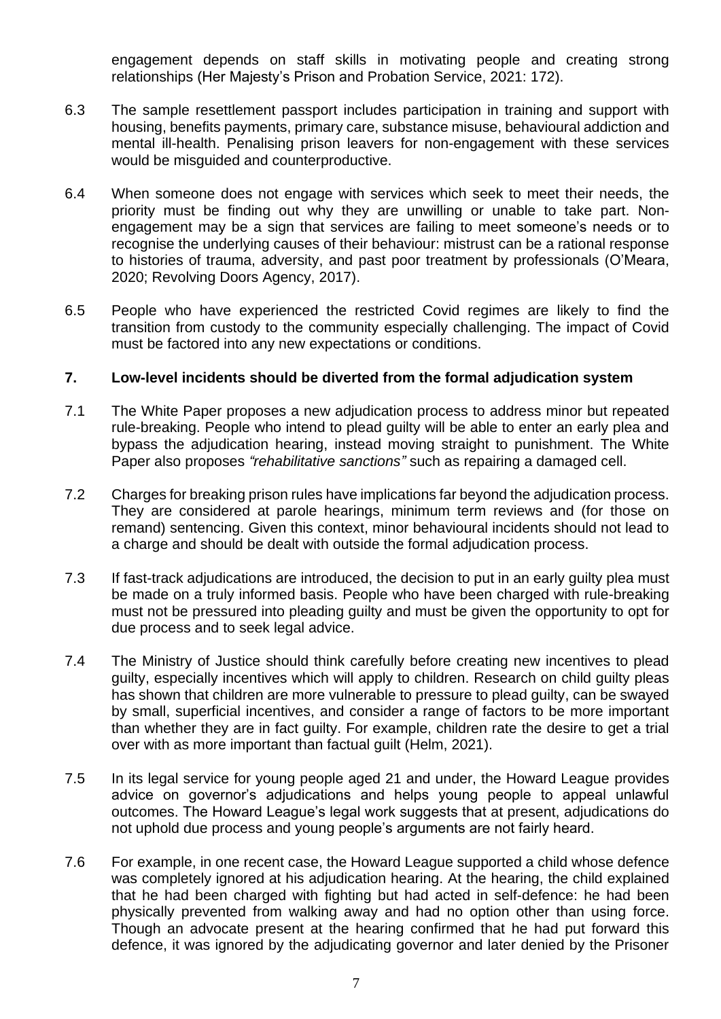engagement depends on staff skills in motivating people and creating strong relationships (Her Majesty's Prison and Probation Service, 2021: 172).

- 6.3 The sample resettlement passport includes participation in training and support with housing, benefits payments, primary care, substance misuse, behavioural addiction and mental ill-health. Penalising prison leavers for non-engagement with these services would be misguided and counterproductive.
- 6.4 When someone does not engage with services which seek to meet their needs, the priority must be finding out why they are unwilling or unable to take part. Nonengagement may be a sign that services are failing to meet someone's needs or to recognise the underlying causes of their behaviour: mistrust can be a rational response to histories of trauma, adversity, and past poor treatment by professionals (O'Meara, 2020; Revolving Doors Agency, 2017).
- 6.5 People who have experienced the restricted Covid regimes are likely to find the transition from custody to the community especially challenging. The impact of Covid must be factored into any new expectations or conditions.

#### **7. Low-level incidents should be diverted from the formal adjudication system**

- 7.1 The White Paper proposes a new adjudication process to address minor but repeated rule-breaking. People who intend to plead guilty will be able to enter an early plea and bypass the adjudication hearing, instead moving straight to punishment. The White Paper also proposes *"rehabilitative sanctions"* such as repairing a damaged cell.
- 7.2 Charges for breaking prison rules have implications far beyond the adjudication process. They are considered at parole hearings, minimum term reviews and (for those on remand) sentencing. Given this context, minor behavioural incidents should not lead to a charge and should be dealt with outside the formal adjudication process.
- 7.3 If fast-track adjudications are introduced, the decision to put in an early guilty plea must be made on a truly informed basis. People who have been charged with rule-breaking must not be pressured into pleading guilty and must be given the opportunity to opt for due process and to seek legal advice.
- 7.4 The Ministry of Justice should think carefully before creating new incentives to plead guilty, especially incentives which will apply to children. Research on child guilty pleas has shown that children are more vulnerable to pressure to plead guilty, can be swayed by small, superficial incentives, and consider a range of factors to be more important than whether they are in fact guilty. For example, children rate the desire to get a trial over with as more important than factual guilt (Helm, 2021).
- 7.5 In its legal service for young people aged 21 and under, the Howard League provides advice on governor's adjudications and helps young people to appeal unlawful outcomes. The Howard League's legal work suggests that at present, adjudications do not uphold due process and young people's arguments are not fairly heard.
- 7.6 For example, in one recent case, the Howard League supported a child whose defence was completely ignored at his adjudication hearing. At the hearing, the child explained that he had been charged with fighting but had acted in self-defence: he had been physically prevented from walking away and had no option other than using force. Though an advocate present at the hearing confirmed that he had put forward this defence, it was ignored by the adjudicating governor and later denied by the Prisoner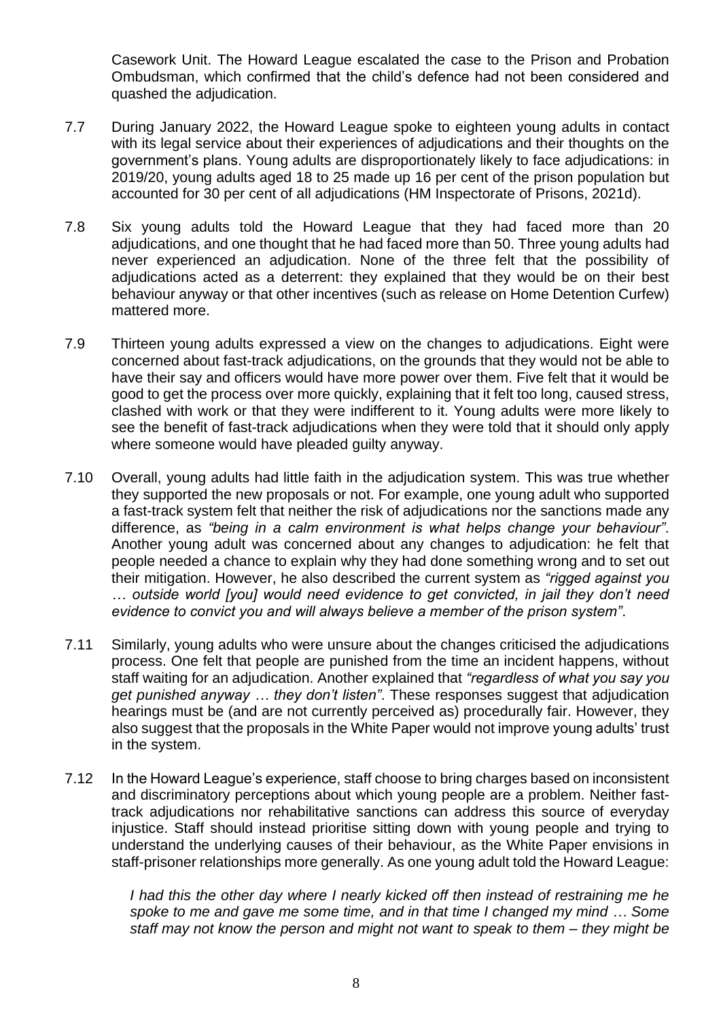Casework Unit. The Howard League escalated the case to the Prison and Probation Ombudsman, which confirmed that the child's defence had not been considered and quashed the adjudication.

- 7.7 During January 2022, the Howard League spoke to eighteen young adults in contact with its legal service about their experiences of adjudications and their thoughts on the government's plans. Young adults are disproportionately likely to face adjudications: in 2019/20, young adults aged 18 to 25 made up 16 per cent of the prison population but accounted for 30 per cent of all adjudications (HM Inspectorate of Prisons, 2021d).
- 7.8 Six young adults told the Howard League that they had faced more than 20 adjudications, and one thought that he had faced more than 50. Three young adults had never experienced an adjudication. None of the three felt that the possibility of adjudications acted as a deterrent: they explained that they would be on their best behaviour anyway or that other incentives (such as release on Home Detention Curfew) mattered more.
- 7.9 Thirteen young adults expressed a view on the changes to adjudications. Eight were concerned about fast-track adjudications, on the grounds that they would not be able to have their say and officers would have more power over them. Five felt that it would be good to get the process over more quickly, explaining that it felt too long, caused stress, clashed with work or that they were indifferent to it. Young adults were more likely to see the benefit of fast-track adjudications when they were told that it should only apply where someone would have pleaded guilty anyway.
- 7.10 Overall, young adults had little faith in the adjudication system. This was true whether they supported the new proposals or not. For example, one young adult who supported a fast-track system felt that neither the risk of adjudications nor the sanctions made any difference, as *"being in a calm environment is what helps change your behaviour"*. Another young adult was concerned about any changes to adjudication: he felt that people needed a chance to explain why they had done something wrong and to set out their mitigation. However, he also described the current system as *"rigged against you … outside world [you] would need evidence to get convicted, in jail they don't need evidence to convict you and will always believe a member of the prison system"*.
- 7.11 Similarly, young adults who were unsure about the changes criticised the adjudications process. One felt that people are punished from the time an incident happens, without staff waiting for an adjudication. Another explained that *"regardless of what you say you get punished anyway … they don't listen"*. These responses suggest that adjudication hearings must be (and are not currently perceived as) procedurally fair. However, they also suggest that the proposals in the White Paper would not improve young adults' trust in the system.
- 7.12 In the Howard League's experience, staff choose to bring charges based on inconsistent and discriminatory perceptions about which young people are a problem. Neither fasttrack adjudications nor rehabilitative sanctions can address this source of everyday injustice. Staff should instead prioritise sitting down with young people and trying to understand the underlying causes of their behaviour, as the White Paper envisions in staff-prisoner relationships more generally. As one young adult told the Howard League:

*I had this the other day where I nearly kicked off then instead of restraining me he spoke to me and gave me some time, and in that time I changed my mind … Some staff may not know the person and might not want to speak to them – they might be*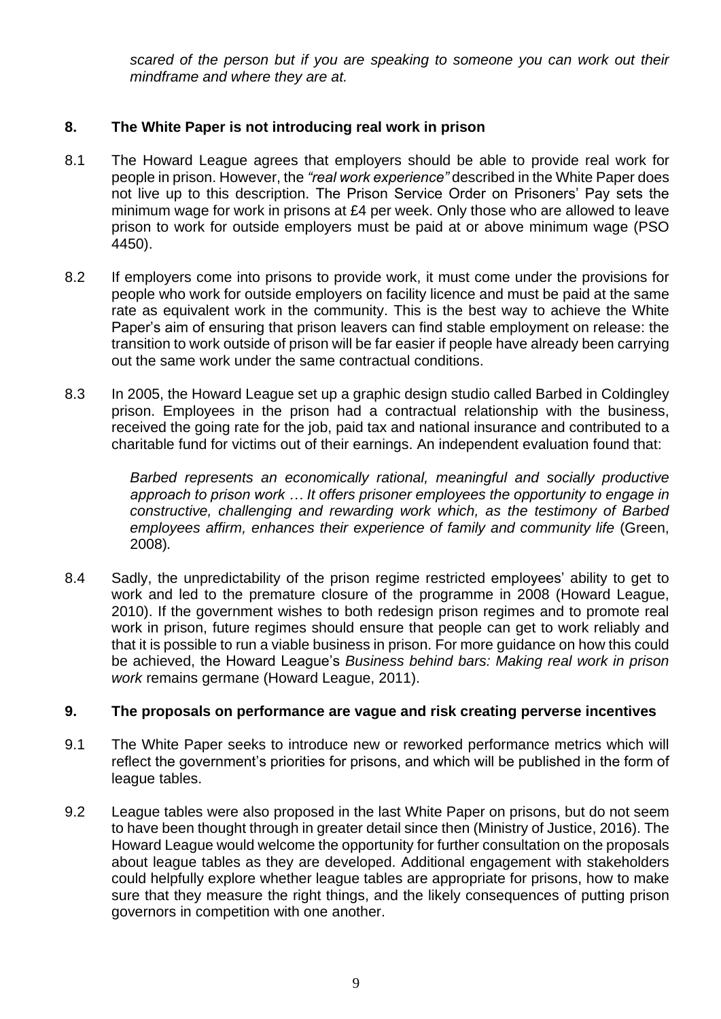*scared of the person but if you are speaking to someone you can work out their mindframe and where they are at.*

# **8. The White Paper is not introducing real work in prison**

- 8.1 The Howard League agrees that employers should be able to provide real work for people in prison. However, the *"real work experience"* described in the White Paper does not live up to this description. The Prison Service Order on Prisoners' Pay sets the minimum wage for work in prisons at £4 per week. Only those who are allowed to leave prison to work for outside employers must be paid at or above minimum wage (PSO 4450).
- 8.2 If employers come into prisons to provide work, it must come under the provisions for people who work for outside employers on facility licence and must be paid at the same rate as equivalent work in the community. This is the best way to achieve the White Paper's aim of ensuring that prison leavers can find stable employment on release: the transition to work outside of prison will be far easier if people have already been carrying out the same work under the same contractual conditions.
- 8.3 In 2005, the Howard League set up a graphic design studio called Barbed in Coldingley prison. Employees in the prison had a contractual relationship with the business, received the going rate for the job, paid tax and national insurance and contributed to a charitable fund for victims out of their earnings. An independent evaluation found that:

*Barbed represents an economically rational, meaningful and socially productive approach to prison work … It offers prisoner employees the opportunity to engage in constructive, challenging and rewarding work which, as the testimony of Barbed*  employees affirm, enhances their experience of family and community life (Green, 2008)*.*

8.4 Sadly, the unpredictability of the prison regime restricted employees' ability to get to work and led to the premature closure of the programme in 2008 (Howard League, 2010). If the government wishes to both redesign prison regimes and to promote real work in prison, future regimes should ensure that people can get to work reliably and that it is possible to run a viable business in prison. For more guidance on how this could be achieved, the Howard League's *Business behind bars: Making real work in prison work* remains germane (Howard League, 2011).

## **9. The proposals on performance are vague and risk creating perverse incentives**

- 9.1 The White Paper seeks to introduce new or reworked performance metrics which will reflect the government's priorities for prisons, and which will be published in the form of league tables.
- 9.2 League tables were also proposed in the last White Paper on prisons, but do not seem to have been thought through in greater detail since then (Ministry of Justice, 2016). The Howard League would welcome the opportunity for further consultation on the proposals about league tables as they are developed. Additional engagement with stakeholders could helpfully explore whether league tables are appropriate for prisons, how to make sure that they measure the right things, and the likely consequences of putting prison governors in competition with one another.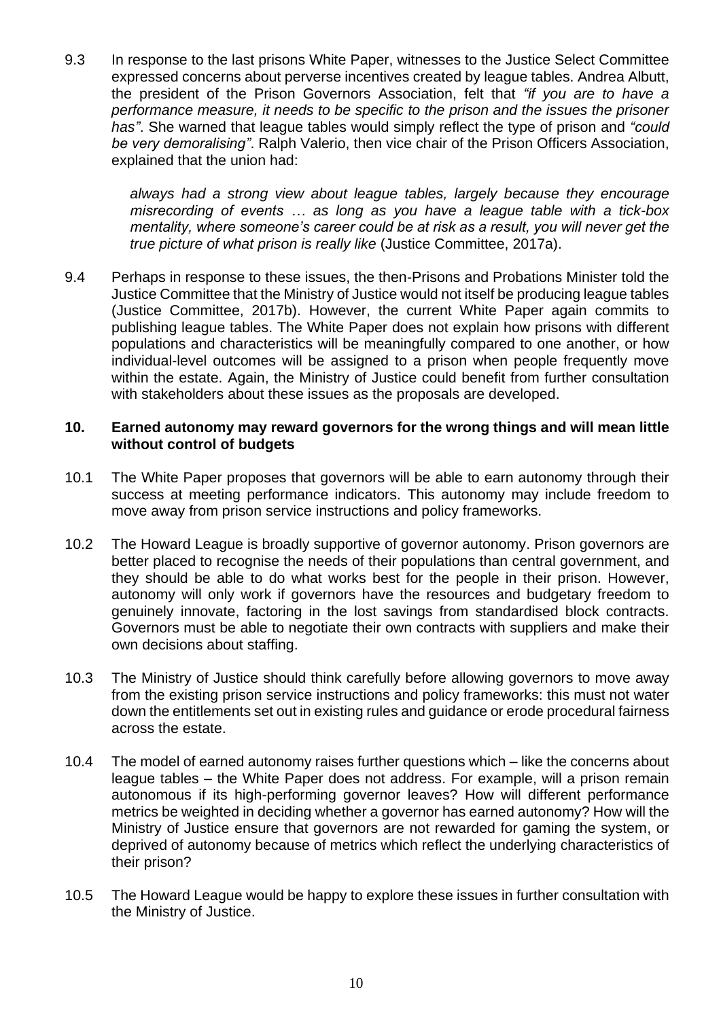9.3 In response to the last prisons White Paper, witnesses to the Justice Select Committee expressed concerns about perverse incentives created by league tables. Andrea Albutt, the president of the Prison Governors Association, felt that *"if you are to have a performance measure, it needs to be specific to the prison and the issues the prisoner has"*. She warned that league tables would simply reflect the type of prison and *"could be very demoralising"*. Ralph Valerio, then vice chair of the Prison Officers Association, explained that the union had:

> *always had a strong view about league tables, largely because they encourage misrecording of events … as long as you have a league table with a tick-box mentality, where someone's career could be at risk as a result, you will never get the true picture of what prison is really like* (Justice Committee, 2017a).

9.4 Perhaps in response to these issues, the then-Prisons and Probations Minister told the Justice Committee that the Ministry of Justice would not itself be producing league tables (Justice Committee, 2017b). However, the current White Paper again commits to publishing league tables. The White Paper does not explain how prisons with different populations and characteristics will be meaningfully compared to one another, or how individual-level outcomes will be assigned to a prison when people frequently move within the estate. Again, the Ministry of Justice could benefit from further consultation with stakeholders about these issues as the proposals are developed.

## **10. Earned autonomy may reward governors for the wrong things and will mean little without control of budgets**

- 10.1 The White Paper proposes that governors will be able to earn autonomy through their success at meeting performance indicators. This autonomy may include freedom to move away from prison service instructions and policy frameworks.
- 10.2 The Howard League is broadly supportive of governor autonomy. Prison governors are better placed to recognise the needs of their populations than central government, and they should be able to do what works best for the people in their prison. However, autonomy will only work if governors have the resources and budgetary freedom to genuinely innovate, factoring in the lost savings from standardised block contracts. Governors must be able to negotiate their own contracts with suppliers and make their own decisions about staffing.
- 10.3 The Ministry of Justice should think carefully before allowing governors to move away from the existing prison service instructions and policy frameworks: this must not water down the entitlements set out in existing rules and guidance or erode procedural fairness across the estate.
- 10.4 The model of earned autonomy raises further questions which like the concerns about league tables – the White Paper does not address. For example, will a prison remain autonomous if its high-performing governor leaves? How will different performance metrics be weighted in deciding whether a governor has earned autonomy? How will the Ministry of Justice ensure that governors are not rewarded for gaming the system, or deprived of autonomy because of metrics which reflect the underlying characteristics of their prison?
- 10.5 The Howard League would be happy to explore these issues in further consultation with the Ministry of Justice.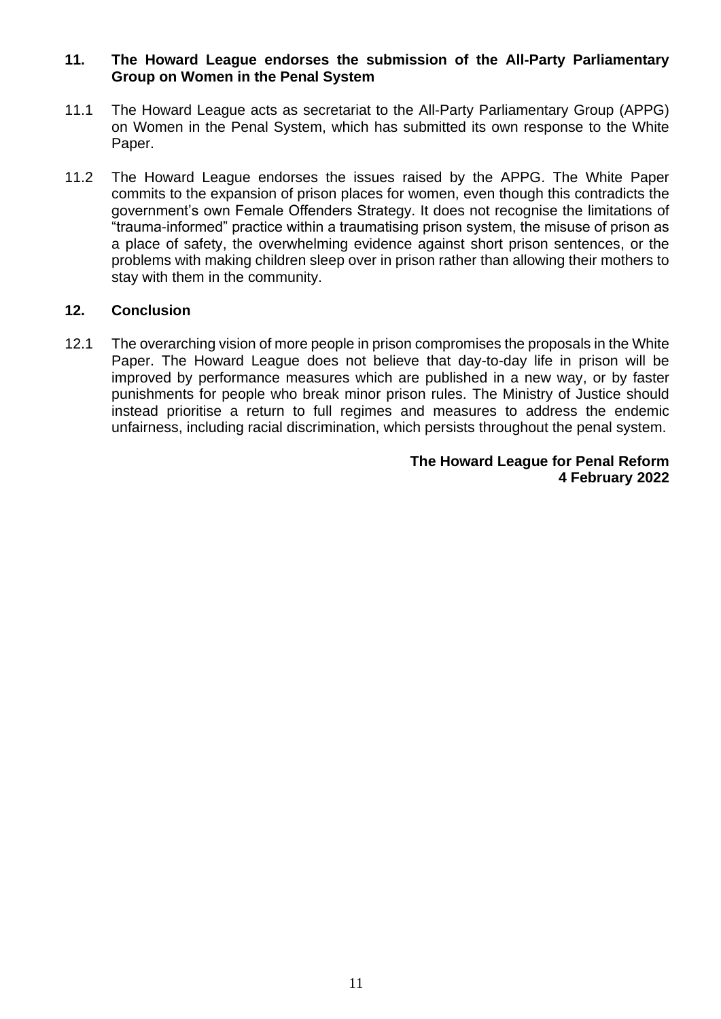## **11. The Howard League endorses the submission of the All-Party Parliamentary Group on Women in the Penal System**

- 11.1 The Howard League acts as secretariat to the All-Party Parliamentary Group (APPG) on Women in the Penal System, which has submitted its own response to the White Paper.
- 11.2 The Howard League endorses the issues raised by the APPG. The White Paper commits to the expansion of prison places for women, even though this contradicts the government's own Female Offenders Strategy. It does not recognise the limitations of "trauma-informed" practice within a traumatising prison system, the misuse of prison as a place of safety, the overwhelming evidence against short prison sentences, or the problems with making children sleep over in prison rather than allowing their mothers to stay with them in the community.

## **12. Conclusion**

12.1 The overarching vision of more people in prison compromises the proposals in the White Paper. The Howard League does not believe that day-to-day life in prison will be improved by performance measures which are published in a new way, or by faster punishments for people who break minor prison rules. The Ministry of Justice should instead prioritise a return to full regimes and measures to address the endemic unfairness, including racial discrimination, which persists throughout the penal system.

#### **The Howard League for Penal Reform 4 February 2022**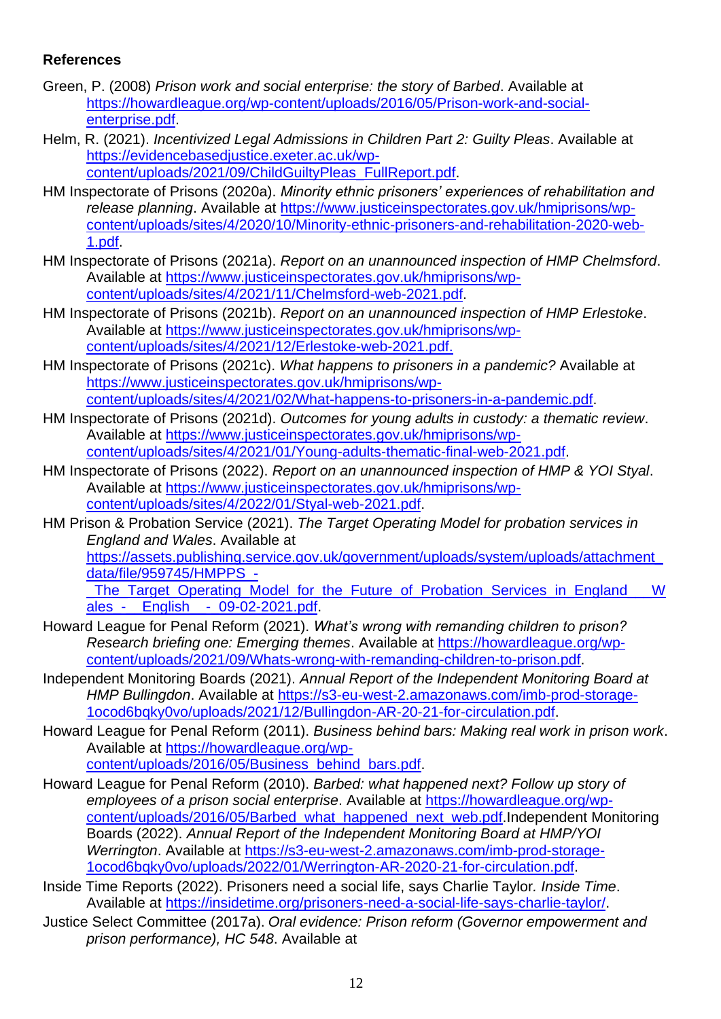# **References**

- Green, P. (2008) *Prison work and social enterprise: the story of Barbed*. Available at [https://howardleague.org/wp-content/uploads/2016/05/Prison-work-and-social](https://howardleague.org/wp-content/uploads/2016/05/Prison-work-and-social-enterprise.pdf)[enterprise.pdf.](https://howardleague.org/wp-content/uploads/2016/05/Prison-work-and-social-enterprise.pdf)
- Helm, R. (2021). *Incentivized Legal Admissions in Children Part 2: Guilty Pleas*. Available at [https://evidencebasedjustice.exeter.ac.uk/wp](https://evidencebasedjustice.exeter.ac.uk/wp-content/uploads/2021/09/ChildGuiltyPleas_FullReport.pdf)[content/uploads/2021/09/ChildGuiltyPleas\\_FullReport.pdf.](https://evidencebasedjustice.exeter.ac.uk/wp-content/uploads/2021/09/ChildGuiltyPleas_FullReport.pdf)
- HM Inspectorate of Prisons (2020a). *Minority ethnic prisoners' experiences of rehabilitation and release planning*. Available at [https://www.justiceinspectorates.gov.uk/hmiprisons/wp](https://www.justiceinspectorates.gov.uk/hmiprisons/wp-content/uploads/sites/4/2020/10/Minority-ethnic-prisoners-and-rehabilitation-2020-web-1.pdf)[content/uploads/sites/4/2020/10/Minority-ethnic-prisoners-and-rehabilitation-2020-web-](https://www.justiceinspectorates.gov.uk/hmiprisons/wp-content/uploads/sites/4/2020/10/Minority-ethnic-prisoners-and-rehabilitation-2020-web-1.pdf)[1.pdf.](https://www.justiceinspectorates.gov.uk/hmiprisons/wp-content/uploads/sites/4/2020/10/Minority-ethnic-prisoners-and-rehabilitation-2020-web-1.pdf)
- HM Inspectorate of Prisons (2021a). *Report on an unannounced inspection of HMP Chelmsford*. Available at [https://www.justiceinspectorates.gov.uk/hmiprisons/wp](https://www.justiceinspectorates.gov.uk/hmiprisons/wp-content/uploads/sites/4/2021/11/Chelmsford-web-2021.pdf)[content/uploads/sites/4/2021/11/Chelmsford-web-2021.pdf.](https://www.justiceinspectorates.gov.uk/hmiprisons/wp-content/uploads/sites/4/2021/11/Chelmsford-web-2021.pdf)
- HM Inspectorate of Prisons (2021b). *Report on an unannounced inspection of HMP Erlestoke*. Available at [https://www.justiceinspectorates.gov.uk/hmiprisons/wp](https://www.justiceinspectorates.gov.uk/hmiprisons/wp-content/uploads/sites/4/2021/12/Erlestoke-web-2021.pdf)[content/uploads/sites/4/2021/12/Erlestoke-web-2021.pdf.](https://www.justiceinspectorates.gov.uk/hmiprisons/wp-content/uploads/sites/4/2021/12/Erlestoke-web-2021.pdf)
- HM Inspectorate of Prisons (2021c). *What happens to prisoners in a pandemic?* Available at [https://www.justiceinspectorates.gov.uk/hmiprisons/wp](https://www.justiceinspectorates.gov.uk/hmiprisons/wp-content/uploads/sites/4/2021/02/What-happens-to-prisoners-in-a-pandemic.pdf)[content/uploads/sites/4/2021/02/What-happens-to-prisoners-in-a-pandemic.pdf.](https://www.justiceinspectorates.gov.uk/hmiprisons/wp-content/uploads/sites/4/2021/02/What-happens-to-prisoners-in-a-pandemic.pdf)
- HM Inspectorate of Prisons (2021d). *Outcomes for young adults in custody: a thematic review*. Available at [https://www.justiceinspectorates.gov.uk/hmiprisons/wp](https://www.justiceinspectorates.gov.uk/hmiprisons/wp-content/uploads/sites/4/2021/01/Young-adults-thematic-final-web-2021.pdf)[content/uploads/sites/4/2021/01/Young-adults-thematic-final-web-2021.pdf.](https://www.justiceinspectorates.gov.uk/hmiprisons/wp-content/uploads/sites/4/2021/01/Young-adults-thematic-final-web-2021.pdf)
- HM Inspectorate of Prisons (2022). *Report on an unannounced inspection of HMP & YOI Styal*. Available at [https://www.justiceinspectorates.gov.uk/hmiprisons/wp](https://www.justiceinspectorates.gov.uk/hmiprisons/wp-content/uploads/sites/4/2022/01/Styal-web-2021.pdf)[content/uploads/sites/4/2022/01/Styal-web-2021.pdf.](https://www.justiceinspectorates.gov.uk/hmiprisons/wp-content/uploads/sites/4/2022/01/Styal-web-2021.pdf)
- HM Prison & Probation Service (2021). *The Target Operating Model for probation services in England and Wales*. Available at [https://assets.publishing.service.gov.uk/government/uploads/system/uploads/attachment\\_](https://assets.publishing.service.gov.uk/government/uploads/system/uploads/attachment_data/file/959745/HMPPS_-_The_Target_Operating_Model_for_the_Future_of_Probation_Services_in_England___Wales_-__English__-_09-02-2021.pdf) [data/file/959745/HMPPS\\_-](https://assets.publishing.service.gov.uk/government/uploads/system/uploads/attachment_data/file/959745/HMPPS_-_The_Target_Operating_Model_for_the_Future_of_Probation_Services_in_England___Wales_-__English__-_09-02-2021.pdf) The Target Operating Model for the Future of Probation Services in England W ales - English - 09-02-2021.pdf.
- Howard League for Penal Reform (2021). *What's wrong with remanding children to prison? Research briefing one: Emerging themes*. Available at [https://howardleague.org/wp](https://howardleague.org/wp-content/uploads/2021/09/Whats-wrong-with-remanding-children-to-prison.pdf)[content/uploads/2021/09/Whats-wrong-with-remanding-children-to-prison.pdf.](https://howardleague.org/wp-content/uploads/2021/09/Whats-wrong-with-remanding-children-to-prison.pdf)
- Independent Monitoring Boards (2021). *Annual Report of the Independent Monitoring Board at HMP Bullingdon*. Available at [https://s3-eu-west-2.amazonaws.com/imb-prod-storage-](https://s3-eu-west-2.amazonaws.com/imb-prod-storage-1ocod6bqky0vo/uploads/2021/12/Bullingdon-AR-20-21-for-circulation.pdf)[1ocod6bqky0vo/uploads/2021/12/Bullingdon-AR-20-21-for-circulation.pdf.](https://s3-eu-west-2.amazonaws.com/imb-prod-storage-1ocod6bqky0vo/uploads/2021/12/Bullingdon-AR-20-21-for-circulation.pdf)
- Howard League for Penal Reform (2011). *Business behind bars: Making real work in prison work*. Available at [https://howardleague.org/wp](https://howardleague.org/wp-content/uploads/2016/05/Business_behind_bars.pdf)[content/uploads/2016/05/Business\\_behind\\_bars.pdf.](https://howardleague.org/wp-content/uploads/2016/05/Business_behind_bars.pdf)
- Howard League for Penal Reform (2010). *Barbed: what happened next? Follow up story of employees of a prison social enterprise*. Available at [https://howardleague.org/wp](https://howardleague.org/wp-content/uploads/2016/05/Barbed_what_happened_next_web.pdf)[content/uploads/2016/05/Barbed\\_what\\_happened\\_next\\_web.pdf.](https://howardleague.org/wp-content/uploads/2016/05/Barbed_what_happened_next_web.pdf)Independent Monitoring Boards (2022). *Annual Report of the Independent Monitoring Board at HMP/YOI Werrington*. Available at [https://s3-eu-west-2.amazonaws.com/imb-prod-storage-](https://s3-eu-west-2.amazonaws.com/imb-prod-storage-1ocod6bqky0vo/uploads/2022/01/Werrington-AR-2020-21-for-circulation.pdf)[1ocod6bqky0vo/uploads/2022/01/Werrington-AR-2020-21-for-circulation.pdf.](https://s3-eu-west-2.amazonaws.com/imb-prod-storage-1ocod6bqky0vo/uploads/2022/01/Werrington-AR-2020-21-for-circulation.pdf)
- Inside Time Reports (2022). Prisoners need a social life, says Charlie Taylor*. Inside Time*. Available at [https://insidetime.org/prisoners-need-a-social-life-says-charlie-taylor/.](https://insidetime.org/prisoners-need-a-social-life-says-charlie-taylor/)
- Justice Select Committee (2017a). *Oral evidence: Prison reform (Governor empowerment and prison performance), HC 548*. Available at